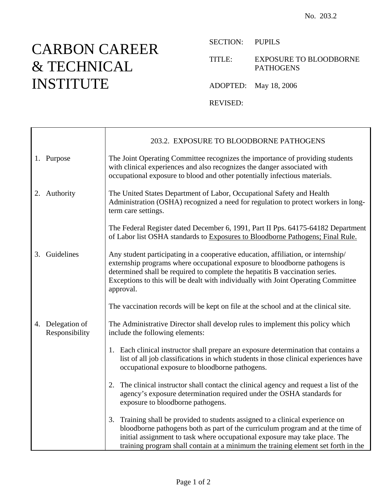## CARBON CAREER & TECHNICAL INSTITUTE

SECTION: PUPILS

TITLE: EXPOSURE TO BLOODBORNE PATHOGENS

ADOPTED: May 18, 2006

REVISED:

|                                    | 203.2. EXPOSURE TO BLOODBORNE PATHOGENS                                                                                                                                                                                                                                                                                                           |
|------------------------------------|---------------------------------------------------------------------------------------------------------------------------------------------------------------------------------------------------------------------------------------------------------------------------------------------------------------------------------------------------|
| 1. Purpose                         | The Joint Operating Committee recognizes the importance of providing students<br>with clinical experiences and also recognizes the danger associated with<br>occupational exposure to blood and other potentially infectious materials.                                                                                                           |
| 2. Authority                       | The United States Department of Labor, Occupational Safety and Health<br>Administration (OSHA) recognized a need for regulation to protect workers in long-<br>term care settings.                                                                                                                                                                |
|                                    | The Federal Register dated December 6, 1991, Part II Pps. 64175-64182 Department<br>of Labor list OSHA standards to Exposures to Bloodborne Pathogens; Final Rule.                                                                                                                                                                                |
| 3. Guidelines                      | Any student participating in a cooperative education, affiliation, or internship/<br>externship programs where occupational exposure to bloodborne pathogens is<br>determined shall be required to complete the hepatitis B vaccination series.<br>Exceptions to this will be dealt with individually with Joint Operating Committee<br>approval. |
|                                    | The vaccination records will be kept on file at the school and at the clinical site.                                                                                                                                                                                                                                                              |
| 4. Delegation of<br>Responsibility | The Administrative Director shall develop rules to implement this policy which<br>include the following elements:                                                                                                                                                                                                                                 |
|                                    | 1. Each clinical instructor shall prepare an exposure determination that contains a<br>list of all job classifications in which students in those clinical experiences have<br>occupational exposure to bloodborne pathogens.                                                                                                                     |
|                                    | The clinical instructor shall contact the clinical agency and request a list of the<br>2.<br>agency's exposure determination required under the OSHA standards for<br>exposure to bloodborne pathogens.                                                                                                                                           |
|                                    | Training shall be provided to students assigned to a clinical experience on<br>3.<br>bloodborne pathogens both as part of the curriculum program and at the time of<br>initial assignment to task where occupational exposure may take place. The<br>training program shall contain at a minimum the training element set forth in the            |